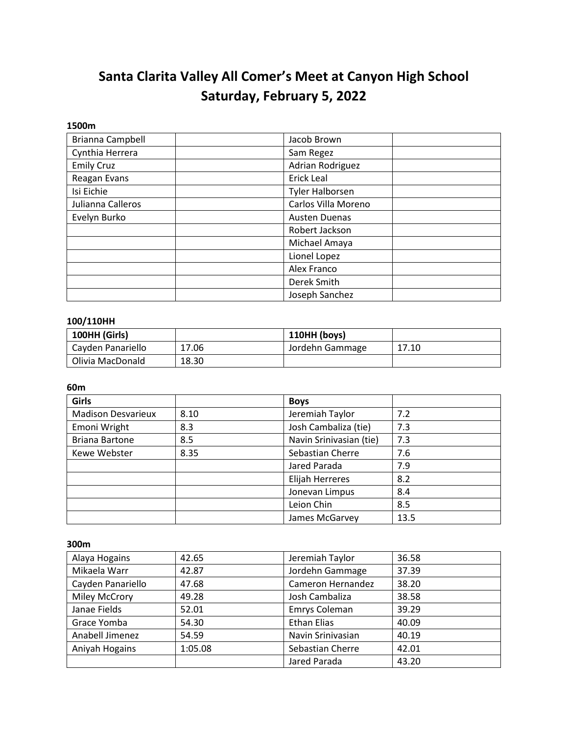# **Santa Clarita Valley All Comer's Meet at Canyon High School Saturday, February 5, 2022**

#### **1500m**

| Brianna Campbell  | Jacob Brown            |
|-------------------|------------------------|
| Cynthia Herrera   | Sam Regez              |
| <b>Emily Cruz</b> | Adrian Rodriguez       |
| Reagan Evans      | Erick Leal             |
| Isi Eichie        | <b>Tyler Halborsen</b> |
| Julianna Calleros | Carlos Villa Moreno    |
| Evelyn Burko      | <b>Austen Duenas</b>   |
|                   | Robert Jackson         |
|                   | Michael Amaya          |
|                   | Lionel Lopez           |
|                   | Alex Franco            |
|                   | Derek Smith            |
|                   | Joseph Sanchez         |

## **100/110HH**

| 100HH (Girls)     |       | 110HH (boys)    |       |
|-------------------|-------|-----------------|-------|
| Cavden Panariello | 17.06 | Jordehn Gammage | 17.10 |
| Olivia MacDonald  | 18.30 |                 |       |

**60m**

| <b>Girls</b>              |      | <b>Boys</b>             |      |
|---------------------------|------|-------------------------|------|
| <b>Madison Desvarieux</b> | 8.10 | Jeremiah Taylor         | 7.2  |
| Emoni Wright              | 8.3  | Josh Cambaliza (tie)    | 7.3  |
| <b>Briana Bartone</b>     | 8.5  | Navin Srinivasian (tie) | 7.3  |
| Kewe Webster              | 8.35 | Sebastian Cherre        | 7.6  |
|                           |      | Jared Parada            | 7.9  |
|                           |      | <b>Elijah Herreres</b>  | 8.2  |
|                           |      | Jonevan Limpus          | 8.4  |
|                           |      | Leion Chin              | 8.5  |
|                           |      | James McGarvey          | 13.5 |

**300m** 

| Alaya Hogains        | 42.65   | Jeremiah Taylor    | 36.58 |
|----------------------|---------|--------------------|-------|
| Mikaela Warr         | 42.87   | Jordehn Gammage    | 37.39 |
| Cayden Panariello    | 47.68   | Cameron Hernandez  | 38.20 |
| <b>Miley McCrory</b> | 49.28   | Josh Cambaliza     | 38.58 |
| Janae Fields         | 52.01   | Emrys Coleman      | 39.29 |
| Grace Yomba          | 54.30   | <b>Ethan Elias</b> | 40.09 |
| Anabell Jimenez      | 54.59   | Navin Srinivasian  | 40.19 |
| Aniyah Hogains       | 1:05.08 | Sebastian Cherre   | 42.01 |
|                      |         | Jared Parada       | 43.20 |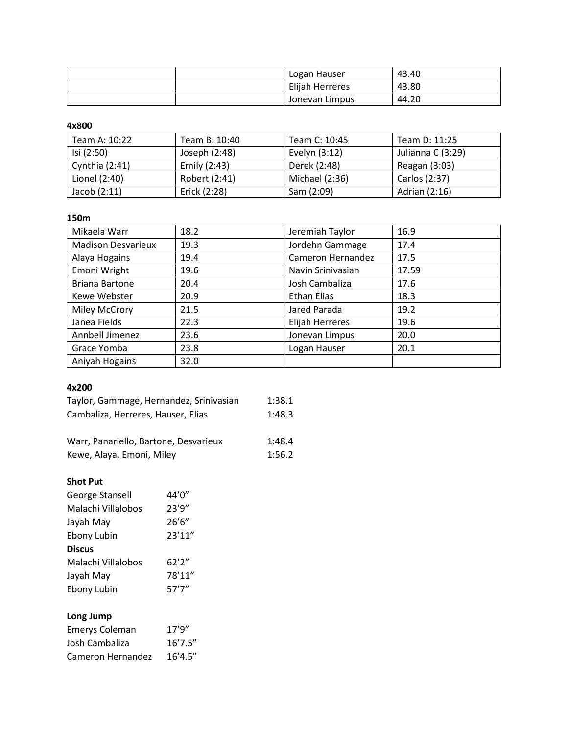|  | Logan Hauser    | 43.40 |
|--|-----------------|-------|
|  | Elijah Herreres | 43.80 |
|  | Jonevan Limpus  | 44.20 |

**4x800**

| Team A: 10:22    | Team B: 10:40 | Team C: 10:45  | Team D: 11:25     |
|------------------|---------------|----------------|-------------------|
| Isi (2:50)       | Joseph (2:48) | Evelyn (3:12)  | Julianna C (3:29) |
| Cynthia $(2:41)$ | Emily (2:43)  | Derek (2:48)   | Reagan (3:03)     |
| Lionel (2:40)    | Robert (2:41) | Michael (2:36) | Carlos (2:37)     |
| Jacob $(2:11)$   | Erick (2:28)  | Sam (2:09)     | Adrian (2:16)     |

## **150m**

| Mikaela Warr              | 18.2 | Jeremiah Taylor   | 16.9  |
|---------------------------|------|-------------------|-------|
| <b>Madison Desvarieux</b> | 19.3 | Jordehn Gammage   | 17.4  |
| Alaya Hogains             | 19.4 | Cameron Hernandez | 17.5  |
| Emoni Wright              | 19.6 | Navin Srinivasian | 17.59 |
| <b>Briana Bartone</b>     | 20.4 | Josh Cambaliza    | 17.6  |
| Kewe Webster              | 20.9 | Ethan Elias       | 18.3  |
| <b>Miley McCrory</b>      | 21.5 | Jared Parada      | 19.2  |
| Janea Fields              | 22.3 | Elijah Herreres   | 19.6  |
| Annbell Jimenez           | 23.6 | Jonevan Limpus    | 20.0  |
| Grace Yomba               | 23.8 | Logan Hauser      | 20.1  |
| Aniyah Hogains            | 32.0 |                   |       |

#### **4x200**

| Taylor, Gammage, Hernandez, Srinivasian | 1:38.1 |
|-----------------------------------------|--------|
| Cambaliza, Herreres, Hauser, Elias      | 1:48.3 |
|                                         |        |

| Warr, Panariello, Bartone, Desvarieux | 1:48.4 |
|---------------------------------------|--------|
| Kewe, Alaya, Emoni, Miley             | 1:56.2 |

#### **Shot Put**

| George Stansell    | 44'0"  |
|--------------------|--------|
| Malachi Villalobos | 23'9'' |
| Jayah May          | 26'6'' |
| Ebony Lubin        | 23'11" |
| <b>Discus</b>      |        |
| Malachi Villalobos | 62'2"  |
| Jayah May          | 78'11" |
| Ebony Lubin        | 57'7'' |

## **Long Jump**

| <b>Emerys Coleman</b> | 17'9''   |
|-----------------------|----------|
| Josh Cambaliza        | 16'7.5'' |
| Cameron Hernandez     | 16'4.5'' |